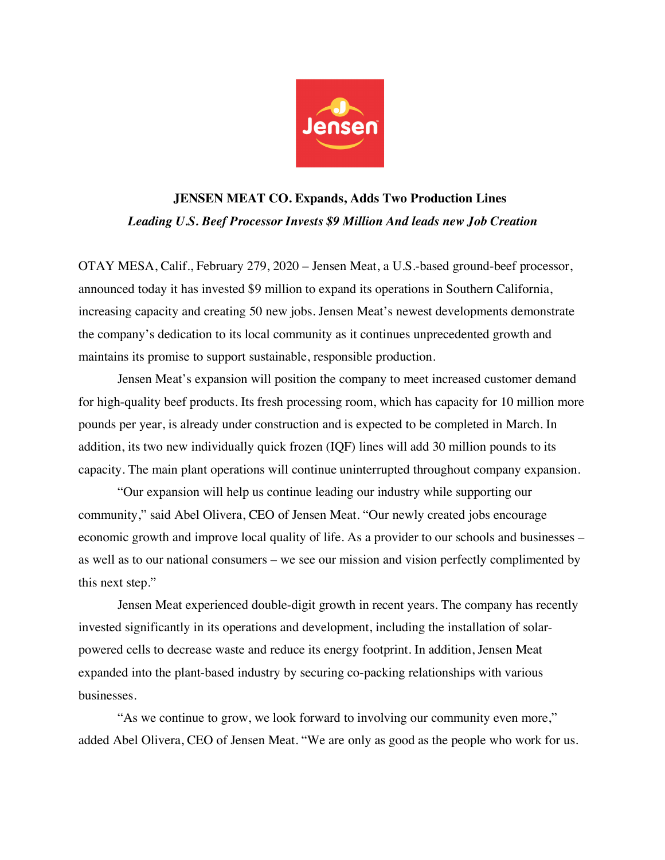

## **JENSEN MEAT CO. Expands, Adds Two Production Lines** *Leading U.S. Beef Processor Invests \$9 Million And leads new Job Creation*

OTAY MESA, Calif., February 279, 2020 – Jensen Meat, a U.S.-based ground-beef processor, announced today it has invested \$9 million to expand its operations in Southern California, increasing capacity and creating 50 new jobs. Jensen Meat's newest developments demonstrate the company's dedication to its local community as it continues unprecedented growth and maintains its promise to support sustainable, responsible production.

Jensen Meat's expansion will position the company to meet increased customer demand for high-quality beef products. Its fresh processing room, which has capacity for 10 million more pounds per year, is already under construction and is expected to be completed in March. In addition, its two new individually quick frozen (IQF) lines will add 30 million pounds to its capacity. The main plant operations will continue uninterrupted throughout company expansion.

"Our expansion will help us continue leading our industry while supporting our community," said Abel Olivera, CEO of Jensen Meat. "Our newly created jobs encourage economic growth and improve local quality of life. As a provider to our schools and businesses – as well as to our national consumers – we see our mission and vision perfectly complimented by this next step."

Jensen Meat experienced double-digit growth in recent years. The company has recently invested significantly in its operations and development, including the installation of solarpowered cells to decrease waste and reduce its energy footprint. In addition, Jensen Meat expanded into the plant-based industry by securing co-packing relationships with various businesses.

"As we continue to grow, we look forward to involving our community even more," added Abel Olivera, CEO of Jensen Meat. "We are only as good as the people who work for us.